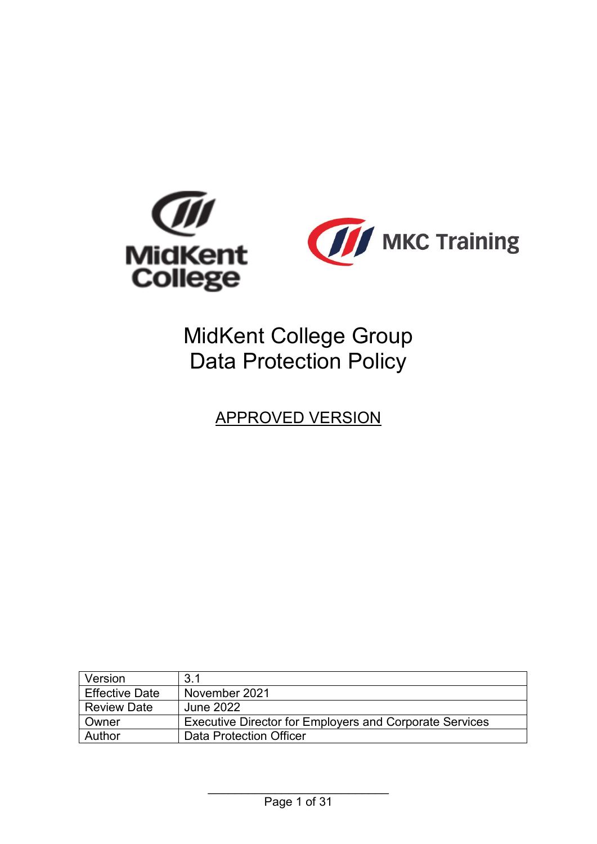

# MidKent College Group Data Protection Policy

APPROVED VERSION

| Version               | 3.1                                                            |
|-----------------------|----------------------------------------------------------------|
| <b>Effective Date</b> | November 2021                                                  |
| <b>Review Date</b>    | <b>June 2022</b>                                               |
| Owner                 | <b>Executive Director for Employers and Corporate Services</b> |
| Author                | Data Protection Officer                                        |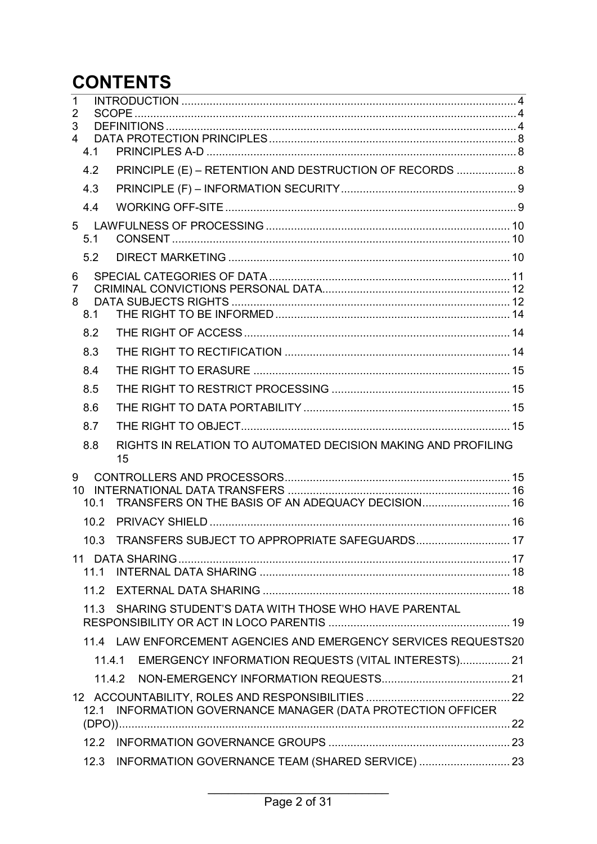# **CONTENTS**

| $\mathbf{1}$<br>$\overline{2}$ |      |                                                                     |  |  |
|--------------------------------|------|---------------------------------------------------------------------|--|--|
| 3                              |      |                                                                     |  |  |
| $\overline{4}$                 | 4.1  |                                                                     |  |  |
|                                | 4.2  | PRINCIPLE (E) - RETENTION AND DESTRUCTION OF RECORDS  8             |  |  |
|                                | 4.3  |                                                                     |  |  |
|                                | 4.4  |                                                                     |  |  |
|                                |      |                                                                     |  |  |
|                                | 5.1  |                                                                     |  |  |
|                                | 5.2  |                                                                     |  |  |
| 6                              |      |                                                                     |  |  |
| 7<br>8                         |      |                                                                     |  |  |
|                                | 8.1  |                                                                     |  |  |
|                                | 8.2  |                                                                     |  |  |
|                                | 8.3  |                                                                     |  |  |
|                                | 8.4  |                                                                     |  |  |
|                                | 8.5  |                                                                     |  |  |
|                                | 8.6  |                                                                     |  |  |
|                                | 8.7  |                                                                     |  |  |
|                                | 8.8  | RIGHTS IN RELATION TO AUTOMATED DECISION MAKING AND PROFILING<br>15 |  |  |
| 9                              |      |                                                                     |  |  |
|                                | 10.1 | TRANSFERS ON THE BASIS OF AN ADEQUACY DECISION 16                   |  |  |
|                                | 10.2 |                                                                     |  |  |
|                                |      | 10.3 TRANSFERS SUBJECT TO APPROPRIATE SAFEGUARDS 17                 |  |  |
|                                |      |                                                                     |  |  |
|                                | 111  |                                                                     |  |  |
|                                | 11.2 |                                                                     |  |  |
|                                | 11.3 | SHARING STUDENT'S DATA WITH THOSE WHO HAVE PARENTAL                 |  |  |
|                                |      | 11.4 LAW ENFORCEMENT AGENCIES AND EMERGENCY SERVICES REQUESTS20     |  |  |
|                                |      | 11.4.1 EMERGENCY INFORMATION REQUESTS (VITAL INTERESTS) 21          |  |  |
|                                |      |                                                                     |  |  |
|                                |      |                                                                     |  |  |
|                                | 12.1 | INFORMATION GOVERNANCE MANAGER (DATA PROTECTION OFFICER             |  |  |
|                                |      |                                                                     |  |  |
|                                | 12.3 | INFORMATION GOVERNANCE TEAM (SHARED SERVICE)  23                    |  |  |
|                                |      |                                                                     |  |  |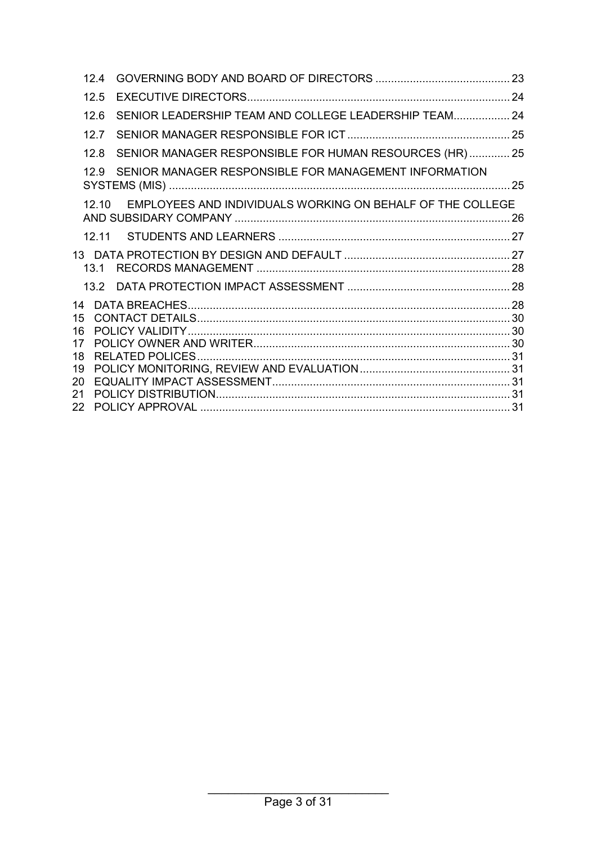|                                        | 124               |                                                            |  |
|----------------------------------------|-------------------|------------------------------------------------------------|--|
|                                        | 12.5              |                                                            |  |
|                                        | 12.6              | SENIOR LEADERSHIP TEAM AND COLLEGE LEADERSHIP TEAM 24      |  |
|                                        | 127               |                                                            |  |
|                                        | 12.8              | SENIOR MANAGER RESPONSIBLE FOR HUMAN RESOURCES (HR)  25    |  |
|                                        | 12.9 <sub>1</sub> | SENIOR MANAGER RESPONSIBLE FOR MANAGEMENT INFORMATION      |  |
|                                        | 1210              | EMPLOYEES AND INDIVIDUALS WORKING ON BEHALF OF THE COLLEGE |  |
|                                        |                   |                                                            |  |
|                                        | 13 <sub>1</sub>   |                                                            |  |
|                                        |                   |                                                            |  |
| 14<br>15<br>16<br>17<br>18<br>19<br>20 |                   |                                                            |  |
| 21<br>22                               |                   |                                                            |  |
|                                        |                   |                                                            |  |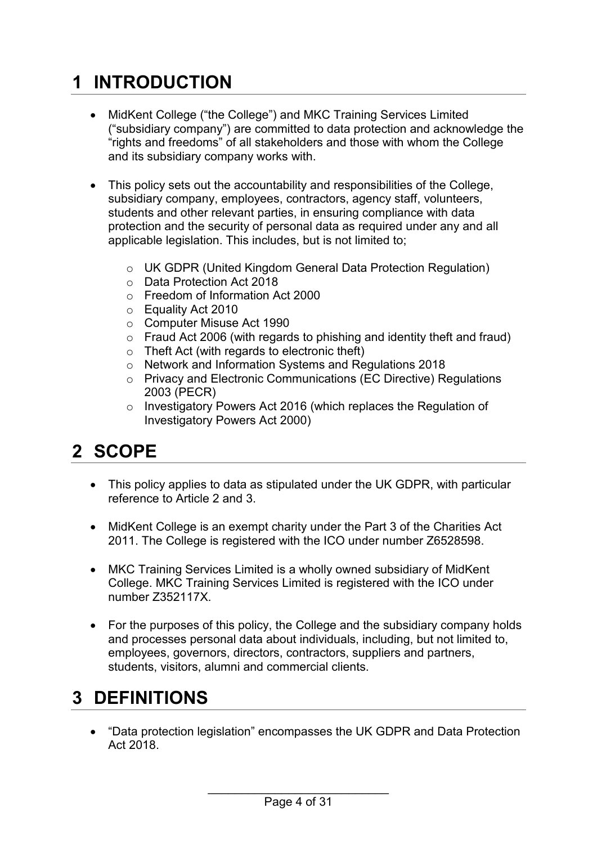# <span id="page-3-0"></span>**1 INTRODUCTION**

- MidKent College ("the College") and MKC Training Services Limited ("subsidiary company") are committed to data protection and acknowledge the "rights and freedoms" of all stakeholders and those with whom the College and its subsidiary company works with.
- This policy sets out the accountability and responsibilities of the College, subsidiary company, employees, contractors, agency staff, volunteers, students and other relevant parties, in ensuring compliance with data protection and the security of personal data as required under any and all applicable legislation. This includes, but is not limited to;
	- o UK GDPR (United Kingdom General Data Protection Regulation)
	- o Data Protection Act 2018
	- o Freedom of Information Act 2000
	- o Equality Act 2010
	- o Computer Misuse Act 1990
	- $\circ$  Fraud Act 2006 (with regards to phishing and identity theft and fraud)
	- o Theft Act (with regards to electronic theft)
	- o Network and Information Systems and Regulations 2018
	- o Privacy and Electronic Communications (EC Directive) Regulations 2003 (PECR)
	- o Investigatory Powers Act 2016 (which replaces the Regulation of Investigatory Powers Act 2000)

## <span id="page-3-1"></span>**2 SCOPE**

- This policy applies to data as stipulated under the UK GDPR, with particular reference to Article 2 and 3.
- MidKent College is an exempt charity under the Part 3 of the Charities Act 2011. The College is registered with the ICO under number Z6528598.
- MKC Training Services Limited is a wholly owned subsidiary of MidKent College. MKC Training Services Limited is registered with the ICO under number Z352117X.
- For the purposes of this policy, the College and the subsidiary company holds and processes personal data about individuals, including, but not limited to, employees, governors, directors, contractors, suppliers and partners, students, visitors, alumni and commercial clients.

# <span id="page-3-2"></span>**3 DEFINITIONS**

• "Data protection legislation" encompasses the UK GDPR and Data Protection Act 2018.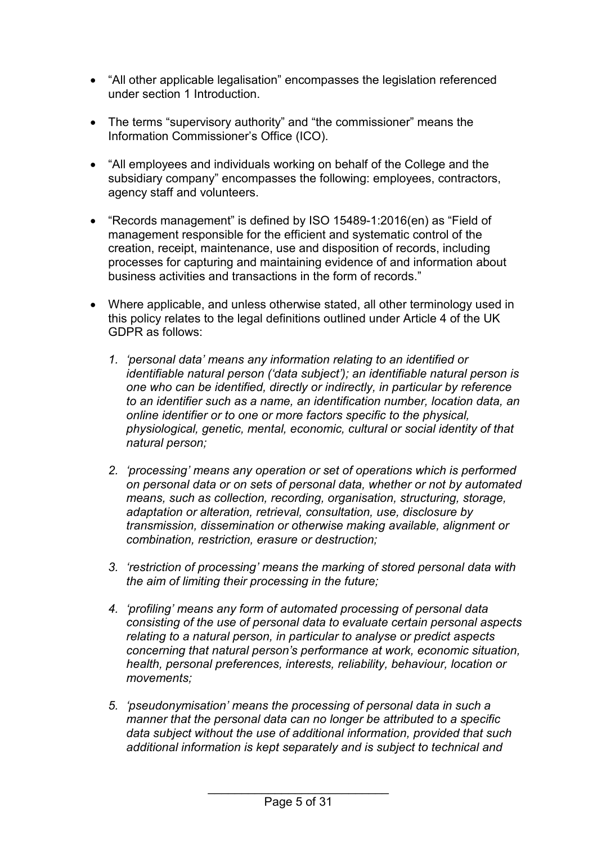- "All other applicable legalisation" encompasses the legislation referenced under section 1 Introduction.
- The terms "supervisory authority" and "the commissioner" means the Information Commissioner's Office (ICO).
- "All employees and individuals working on behalf of the College and the subsidiary company" encompasses the following: employees, contractors, agency staff and volunteers.
- "Records management" is defined by ISO 15489-1:2016(en) as "Field of management responsible for the efficient and systematic control of the creation, receipt, maintenance, use and disposition of records, including processes for capturing and maintaining evidence of and information about business activities and transactions in the form of records."
- Where applicable, and unless otherwise stated, all other terminology used in this policy relates to the legal definitions outlined under Article 4 of the UK GDPR as follows:
	- *1. 'personal data' means any information relating to an identified or identifiable natural person ('data subject'); an identifiable natural person is one who can be identified, directly or indirectly, in particular by reference to an identifier such as a name, an identification number, location data, an online identifier or to one or more factors specific to the physical, physiological, genetic, mental, economic, cultural or social identity of that natural person;*
	- *2. 'processing' means any operation or set of operations which is performed on personal data or on sets of personal data, whether or not by automated means, such as collection, recording, organisation, structuring, storage, adaptation or alteration, retrieval, consultation, use, disclosure by transmission, dissemination or otherwise making available, alignment or combination, restriction, erasure or destruction;*
	- *3. 'restriction of processing' means the marking of stored personal data with the aim of limiting their processing in the future;*
	- *4. 'profiling' means any form of automated processing of personal data consisting of the use of personal data to evaluate certain personal aspects relating to a natural person, in particular to analyse or predict aspects concerning that natural person's performance at work, economic situation, health, personal preferences, interests, reliability, behaviour, location or movements;*
	- *5. 'pseudonymisation' means the processing of personal data in such a manner that the personal data can no longer be attributed to a specific data subject without the use of additional information, provided that such additional information is kept separately and is subject to technical and*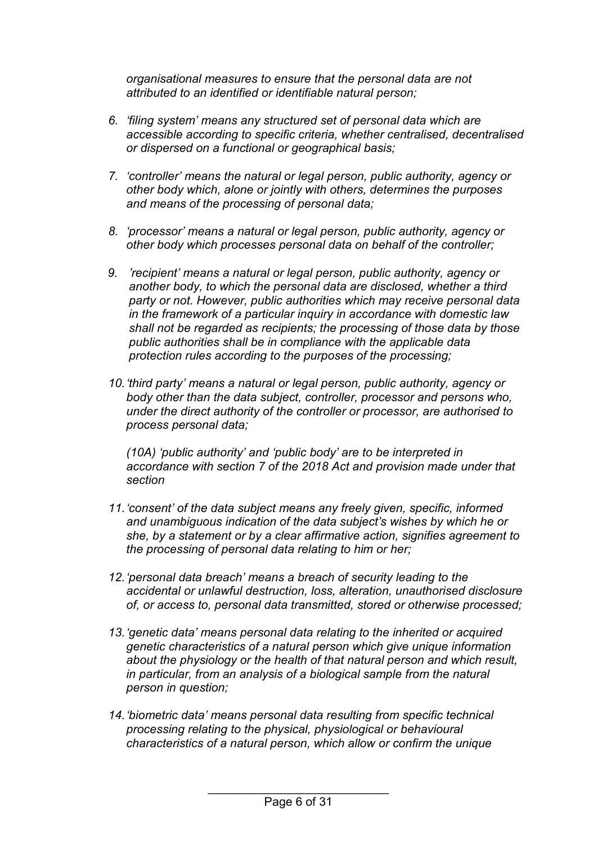*organisational measures to ensure that the personal data are not attributed to an identified or identifiable natural person;*

- *6. 'filing system' means any structured set of personal data which are accessible according to specific criteria, whether centralised, decentralised or dispersed on a functional or geographical basis;*
- *7. 'controller' means the natural or legal person, public authority, agency or other body which, alone or jointly with others, determines the purposes and means of the processing of personal data;*
- *8. 'processor' means a natural or legal person, public authority, agency or other body which processes personal data on behalf of the controller;*
- *9. 'recipient' means a natural or legal person, public authority, agency or another body, to which the personal data are disclosed, whether a third party or not. However, public authorities which may receive personal data in the framework of a particular inquiry in accordance with domestic law shall not be regarded as recipients; the processing of those data by those public authorities shall be in compliance with the applicable data protection rules according to the purposes of the processing;*
- *10.'third party' means a natural or legal person, public authority, agency or body other than the data subject, controller, processor and persons who, under the direct authority of the controller or processor, are authorised to process personal data;*

*(10A) 'public authority' and 'public body' are to be interpreted in accordance with section 7 of the 2018 Act and provision made under that section*

- *11.'consent' of the data subject means any freely given, specific, informed and unambiguous indication of the data subject's wishes by which he or she, by a statement or by a clear affirmative action, signifies agreement to the processing of personal data relating to him or her;*
- *12.'personal data breach' means a breach of security leading to the accidental or unlawful destruction, loss, alteration, unauthorised disclosure of, or access to, personal data transmitted, stored or otherwise processed;*
- *13.'genetic data' means personal data relating to the inherited or acquired genetic characteristics of a natural person which give unique information about the physiology or the health of that natural person and which result, in particular, from an analysis of a biological sample from the natural person in question;*
- *14.'biometric data' means personal data resulting from specific technical processing relating to the physical, physiological or behavioural characteristics of a natural person, which allow or confirm the unique*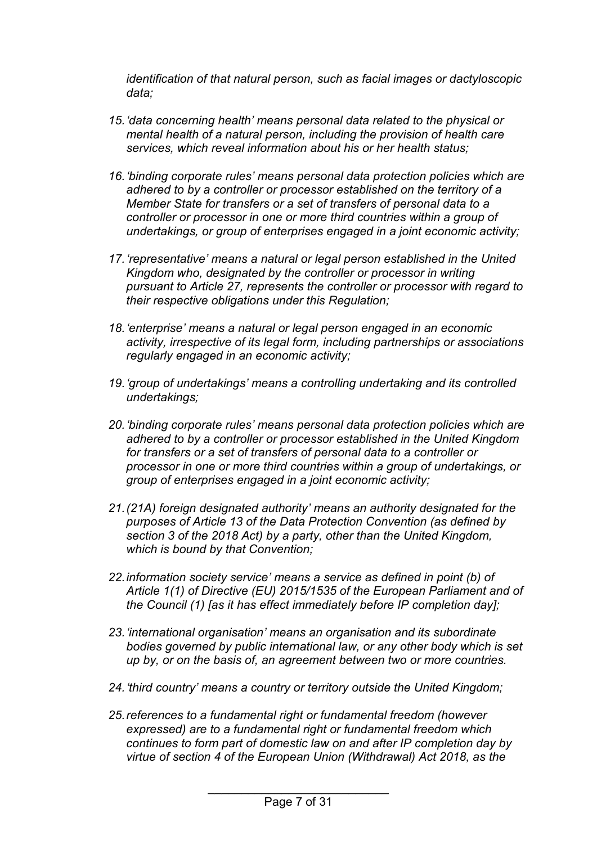*identification of that natural person, such as facial images or dactyloscopic data;*

- *15.'data concerning health' means personal data related to the physical or mental health of a natural person, including the provision of health care services, which reveal information about his or her health status;*
- *16.'binding corporate rules' means personal data protection policies which are adhered to by a controller or processor established on the territory of a Member State for transfers or a set of transfers of personal data to a controller or processor in one or more third countries within a group of undertakings, or group of enterprises engaged in a joint economic activity;*
- *17.'representative' means a natural or legal person established in the United Kingdom who, designated by the controller or processor in writing pursuant to Article 27, represents the controller or processor with regard to their respective obligations under this Regulation;*
- *18.'enterprise' means a natural or legal person engaged in an economic activity, irrespective of its legal form, including partnerships or associations regularly engaged in an economic activity;*
- *19.'group of undertakings' means a controlling undertaking and its controlled undertakings;*
- *20.'binding corporate rules' means personal data protection policies which are adhered to by a controller or processor established in the United Kingdom for transfers or a set of transfers of personal data to a controller or processor in one or more third countries within a group of undertakings, or group of enterprises engaged in a joint economic activity;*
- *21.(21A) foreign designated authority' means an authority designated for the purposes of Article 13 of the Data Protection Convention (as defined by section 3 of the 2018 Act) by a party, other than the United Kingdom, which is bound by that Convention;*
- *22.information society service' means a service as defined in point (b) of Article 1(1) of Directive (EU) 2015/1535 of the European Parliament and of the Council (1) [as it has effect immediately before IP completion day];*
- *23.'international organisation' means an organisation and its subordinate bodies governed by public international law, or any other body which is set up by, or on the basis of, an agreement between two or more countries.*
- *24.'third country' means a country or territory outside the United Kingdom;*
- *25.references to a fundamental right or fundamental freedom (however expressed) are to a fundamental right or fundamental freedom which continues to form part of domestic law on and after IP completion day by virtue of section 4 of the European Union (Withdrawal) Act 2018, as the*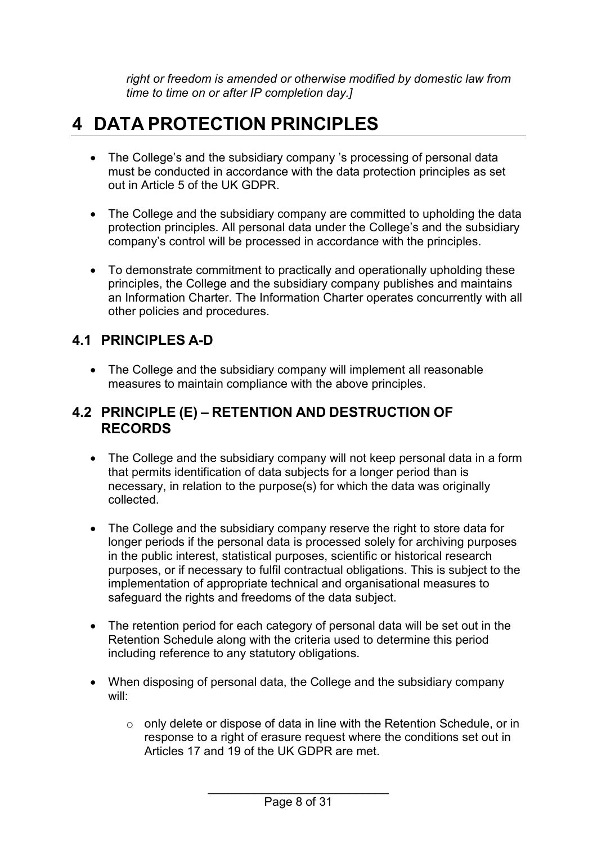*right or freedom is amended or otherwise modified by domestic law from time to time on or after IP completion day.]*

## <span id="page-7-0"></span>**4 DATA PROTECTION PRINCIPLES**

- The College's and the subsidiary company 's processing of personal data must be conducted in accordance with the data protection principles as set out in Article 5 of the UK GDPR.
- The College and the subsidiary company are committed to upholding the data protection principles. All personal data under the College's and the subsidiary company's control will be processed in accordance with the principles.
- To demonstrate commitment to practically and operationally upholding these principles, the College and the subsidiary company publishes and maintains an Information Charter. The Information Charter operates concurrently with all other policies and procedures.

### <span id="page-7-1"></span>**4.1 PRINCIPLES A-D**

• The College and the subsidiary company will implement all reasonable measures to maintain compliance with the above principles.

#### <span id="page-7-2"></span>**4.2 PRINCIPLE (E) – RETENTION AND DESTRUCTION OF RECORDS**

- The College and the subsidiary company will not keep personal data in a form that permits identification of data subjects for a longer period than is necessary, in relation to the purpose(s) for which the data was originally collected.
- The College and the subsidiary company reserve the right to store data for longer periods if the personal data is processed solely for archiving purposes in the public interest, statistical purposes, scientific or historical research purposes, or if necessary to fulfil contractual obligations. This is subject to the implementation of appropriate technical and organisational measures to safeguard the rights and freedoms of the data subject.
- The retention period for each category of personal data will be set out in the Retention Schedule along with the criteria used to determine this period including reference to any statutory obligations.
- When disposing of personal data, the College and the subsidiary company will:
	- o only delete or dispose of data in line with the Retention Schedule, or in response to a right of erasure request where the conditions set out in Articles 17 and 19 of the UK GDPR are met.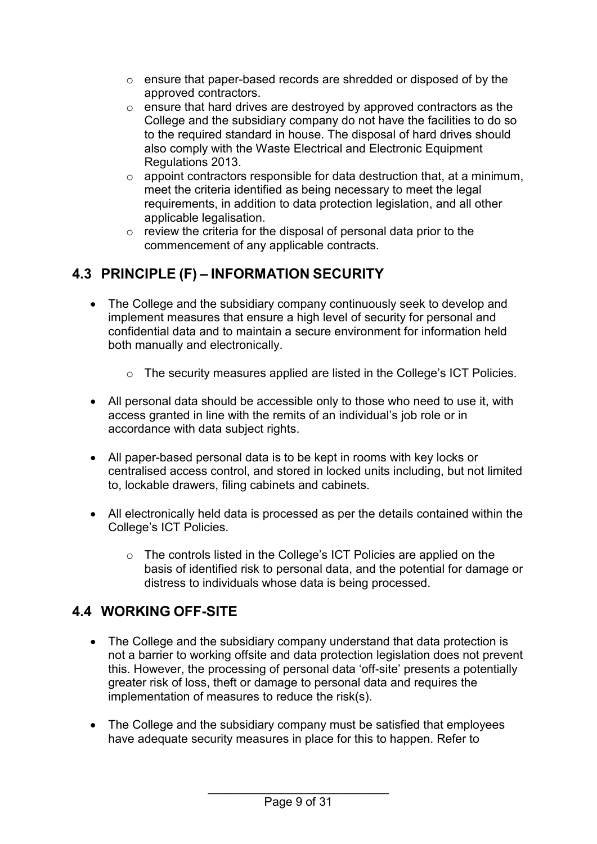- o ensure that paper-based records are shredded or disposed of by the approved contractors.
- o ensure that hard drives are destroyed by approved contractors as the College and the subsidiary company do not have the facilities to do so to the required standard in house. The disposal of hard drives should also comply with the Waste Electrical and Electronic Equipment Regulations 2013.
- $\circ$  appoint contractors responsible for data destruction that, at a minimum, meet the criteria identified as being necessary to meet the legal requirements, in addition to data protection legislation, and all other applicable legalisation.
- o review the criteria for the disposal of personal data prior to the commencement of any applicable contracts.

## <span id="page-8-0"></span>**4.3 PRINCIPLE (F) – INFORMATION SECURITY**

- The College and the subsidiary company continuously seek to develop and implement measures that ensure a high level of security for personal and confidential data and to maintain a secure environment for information held both manually and electronically.
	- o The security measures applied are listed in the College's ICT Policies.
- All personal data should be accessible only to those who need to use it, with access granted in line with the remits of an individual's job role or in accordance with data subject rights.
- All paper-based personal data is to be kept in rooms with key locks or centralised access control, and stored in locked units including, but not limited to, lockable drawers, filing cabinets and cabinets.
- All electronically held data is processed as per the details contained within the College's ICT Policies.
	- o The controls listed in the College's ICT Policies are applied on the basis of identified risk to personal data, and the potential for damage or distress to individuals whose data is being processed.

### <span id="page-8-1"></span>**4.4 WORKING OFF-SITE**

- The College and the subsidiary company understand that data protection is not a barrier to working offsite and data protection legislation does not prevent this. However, the processing of personal data 'off-site' presents a potentially greater risk of loss, theft or damage to personal data and requires the implementation of measures to reduce the risk(s).
- The College and the subsidiary company must be satisfied that employees have adequate security measures in place for this to happen. Refer to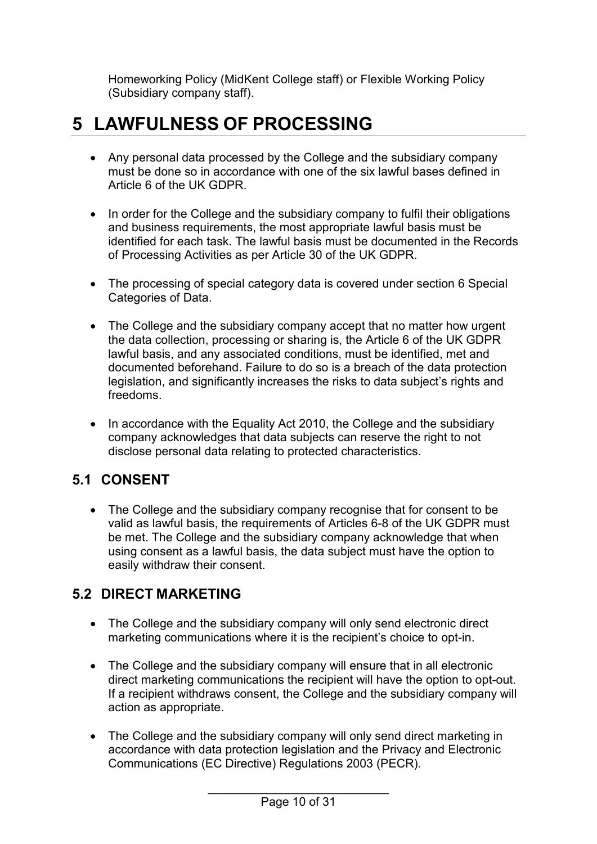Homeworking Policy (MidKent College staff) or Flexible Working Policy (Subsidiary company staff).

## <span id="page-9-0"></span>**5 LAWFULNESS OF PROCESSING**

- Any personal data processed by the College and the subsidiary company must be done so in accordance with one of the six lawful bases defined in Article 6 of the UK GDPR.
- In order for the College and the subsidiary company to fulfil their obligations and business requirements, the most appropriate lawful basis must be identified for each task. The lawful basis must be documented in the Records of Processing Activities as per Article 30 of the UK GDPR.
- The processing of special category data is covered under section 6 Special Categories of Data.
- The College and the subsidiary company accept that no matter how urgent the data collection, processing or sharing is, the Article 6 of the UK GDPR lawful basis, and any associated conditions, must be identified, met and documented beforehand. Failure to do so is a breach of the data protection legislation, and significantly increases the risks to data subject's rights and freedoms.
- In accordance with the Equality Act 2010, the College and the subsidiary company acknowledges that data subjects can reserve the right to not disclose personal data relating to protected characteristics.

### <span id="page-9-1"></span>**5.1 CONSENT**

• The College and the subsidiary company recognise that for consent to be valid as lawful basis, the requirements of Articles 6-8 of the UK GDPR must be met. The College and the subsidiary company acknowledge that when using consent as a lawful basis, the data subject must have the option to easily withdraw their consent.

#### <span id="page-9-2"></span>**5.2 DIRECT MARKETING**

- The College and the subsidiary company will only send electronic direct marketing communications where it is the recipient's choice to opt-in.
- The College and the subsidiary company will ensure that in all electronic direct marketing communications the recipient will have the option to opt-out. If a recipient withdraws consent, the College and the subsidiary company will action as appropriate.
- The College and the subsidiary company will only send direct marketing in accordance with data protection legislation and the Privacy and Electronic Communications (EC Directive) Regulations 2003 (PECR).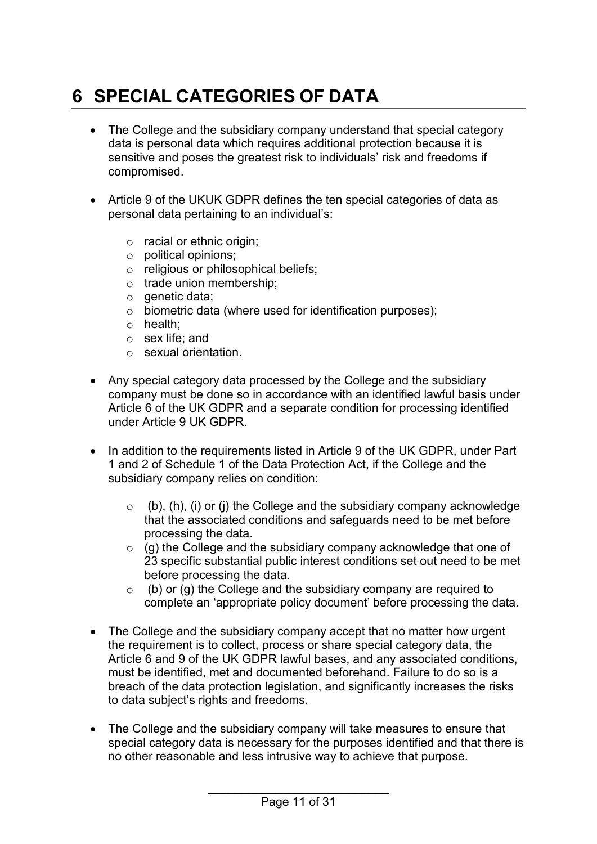# <span id="page-10-0"></span>**6 SPECIAL CATEGORIES OF DATA**

- The College and the subsidiary company understand that special category data is personal data which requires additional protection because it is sensitive and poses the greatest risk to individuals' risk and freedoms if compromised.
- Article 9 of the UKUK GDPR defines the ten special categories of data as personal data pertaining to an individual's:
	- o racial or ethnic origin;
	- o political opinions;
	- o religious or philosophical beliefs;
	- o trade union membership;
	- $\circ$  genetic data;
	- o biometric data (where used for identification purposes);
	- o health;
	- o sex life; and
	- o sexual orientation.
- Any special category data processed by the College and the subsidiary company must be done so in accordance with an identified lawful basis under Article 6 of the UK GDPR and a separate condition for processing identified under Article 9 UK GDPR.
- In addition to the requirements listed in Article 9 of the UK GDPR, under Part 1 and 2 of Schedule 1 of the Data Protection Act, if the College and the subsidiary company relies on condition:
	- $\circ$  (b), (h), (i) or (j) the College and the subsidiary company acknowledge that the associated conditions and safeguards need to be met before processing the data.
	- $\circ$  (g) the College and the subsidiary company acknowledge that one of 23 specific substantial public interest conditions set out need to be met before processing the data.
	- $\circ$  (b) or (g) the College and the subsidiary company are required to complete an 'appropriate policy document' before processing the data.
- The College and the subsidiary company accept that no matter how urgent the requirement is to collect, process or share special category data, the Article 6 and 9 of the UK GDPR lawful bases, and any associated conditions, must be identified, met and documented beforehand. Failure to do so is a breach of the data protection legislation, and significantly increases the risks to data subject's rights and freedoms.
- The College and the subsidiary company will take measures to ensure that special category data is necessary for the purposes identified and that there is no other reasonable and less intrusive way to achieve that purpose.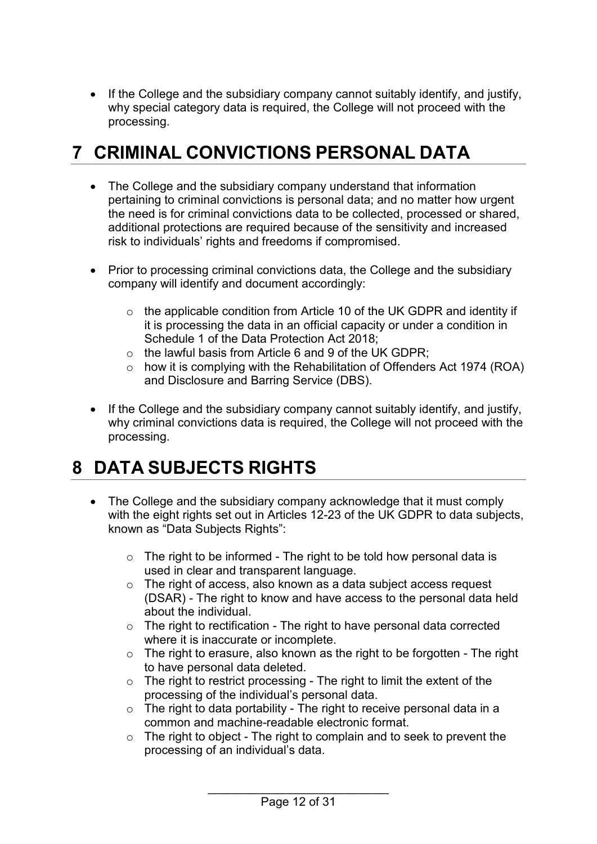• If the College and the subsidiary company cannot suitably identify, and justify, why special category data is required, the College will not proceed with the processing.

## <span id="page-11-0"></span>**7 CRIMINAL CONVICTIONS PERSONAL DATA**

- The College and the subsidiary company understand that information pertaining to criminal convictions is personal data; and no matter how urgent the need is for criminal convictions data to be collected, processed or shared, additional protections are required because of the sensitivity and increased risk to individuals' rights and freedoms if compromised.
- Prior to processing criminal convictions data, the College and the subsidiary company will identify and document accordingly:
	- o the applicable condition from Article 10 of the UK GDPR and identity if it is processing the data in an official capacity or under a condition in Schedule 1 of the Data Protection Act 2018;
	- $\circ$  the lawful basis from Article 6 and 9 of the UK GDPR;
	- $\circ$  how it is complying with the Rehabilitation of Offenders Act 1974 (ROA) and Disclosure and Barring Service (DBS).
- If the College and the subsidiary company cannot suitably identify, and justify, why criminal convictions data is required, the College will not proceed with the processing.

## <span id="page-11-1"></span>**8 DATA SUBJECTS RIGHTS**

- The College and the subsidiary company acknowledge that it must comply with the eight rights set out in Articles 12-23 of the UK GDPR to data subjects, known as "Data Subjects Rights":
	- $\circ$  The right to be informed The right to be told how personal data is used in clear and transparent language.
	- o The right of access, also known as a data subject access request (DSAR) - The right to know and have access to the personal data held about the individual.
	- $\circ$  The right to rectification The right to have personal data corrected where it is inaccurate or incomplete.
	- $\circ$  The right to erasure, also known as the right to be forgotten The right to have personal data deleted.
	- o The right to restrict processing The right to limit the extent of the processing of the individual's personal data.
	- $\circ$  The right to data portability The right to receive personal data in a common and machine-readable electronic format.
	- o The right to object The right to complain and to seek to prevent the processing of an individual's data.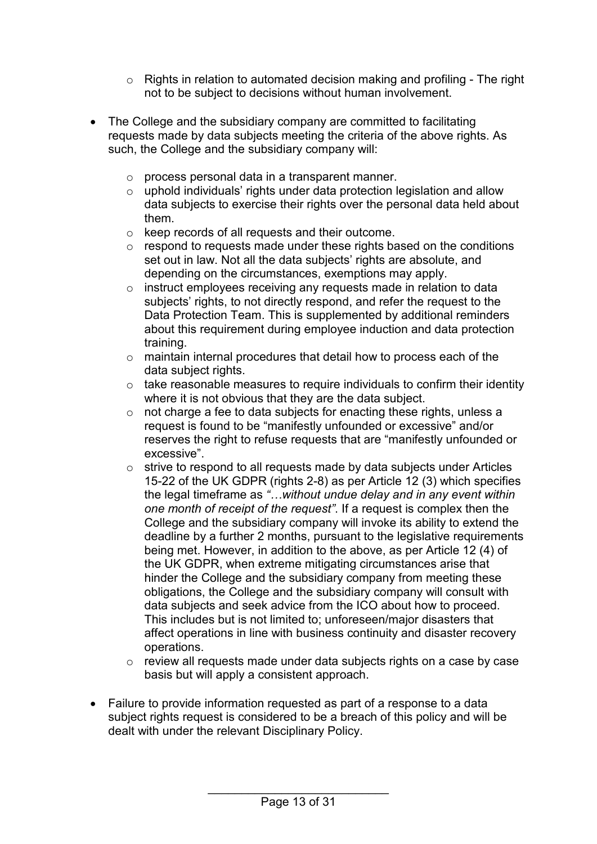- o Rights in relation to automated decision making and profiling The right not to be subject to decisions without human involvement.
- The College and the subsidiary company are committed to facilitating requests made by data subjects meeting the criteria of the above rights. As such, the College and the subsidiary company will:
	- o process personal data in a transparent manner.
	- o uphold individuals' rights under data protection legislation and allow data subjects to exercise their rights over the personal data held about them.
	- o keep records of all requests and their outcome.
	- $\circ$  respond to requests made under these rights based on the conditions set out in law. Not all the data subjects' rights are absolute, and depending on the circumstances, exemptions may apply.
	- o instruct employees receiving any requests made in relation to data subjects' rights, to not directly respond, and refer the request to the Data Protection Team. This is supplemented by additional reminders about this requirement during employee induction and data protection training.
	- o maintain internal procedures that detail how to process each of the data subject rights.
	- $\circ$  take reasonable measures to require individuals to confirm their identity where it is not obvious that they are the data subject.
	- o not charge a fee to data subjects for enacting these rights, unless a request is found to be "manifestly unfounded or excessive" and/or reserves the right to refuse requests that are "manifestly unfounded or excessive".
	- o strive to respond to all requests made by data subjects under Articles 15-22 of the UK GDPR (rights 2-8) as per Article 12 (3) which specifies the legal timeframe as *"…without undue delay and in any event within one month of receipt of the request"*. If a request is complex then the College and the subsidiary company will invoke its ability to extend the deadline by a further 2 months, pursuant to the legislative requirements being met. However, in addition to the above, as per Article 12 (4) of the UK GDPR, when extreme mitigating circumstances arise that hinder the College and the subsidiary company from meeting these obligations, the College and the subsidiary company will consult with data subjects and seek advice from the ICO about how to proceed. This includes but is not limited to; unforeseen/major disasters that affect operations in line with business continuity and disaster recovery operations.
	- o review all requests made under data subjects rights on a case by case basis but will apply a consistent approach.
- Failure to provide information requested as part of a response to a data subject rights request is considered to be a breach of this policy and will be dealt with under the relevant Disciplinary Policy.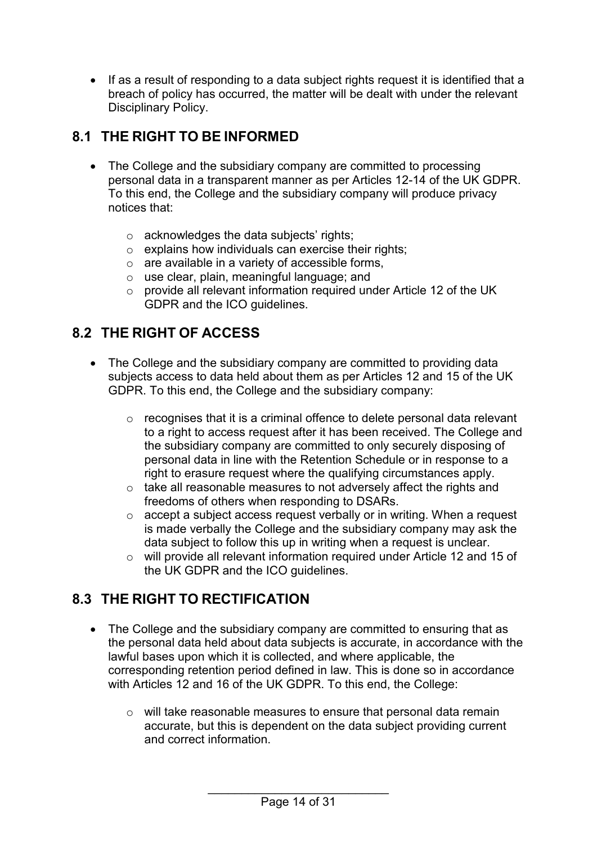• If as a result of responding to a data subject rights request it is identified that a breach of policy has occurred, the matter will be dealt with under the relevant Disciplinary Policy.

## <span id="page-13-0"></span>**8.1 THE RIGHT TO BE INFORMED**

- The College and the subsidiary company are committed to processing personal data in a transparent manner as per Articles 12-14 of the UK GDPR. To this end, the College and the subsidiary company will produce privacy notices that:
	- o acknowledges the data subjects' rights;
	- $\circ$  explains how individuals can exercise their rights;
	- $\circ$  are available in a variety of accessible forms,
	- o use clear, plain, meaningful language; and
	- o provide all relevant information required under Article 12 of the UK GDPR and the ICO guidelines.

### <span id="page-13-1"></span>**8.2 THE RIGHT OF ACCESS**

- The College and the subsidiary company are committed to providing data subjects access to data held about them as per Articles 12 and 15 of the UK GDPR. To this end, the College and the subsidiary company:
	- o recognises that it is a criminal offence to delete personal data relevant to a right to access request after it has been received. The College and the subsidiary company are committed to only securely disposing of personal data in line with the Retention Schedule or in response to a right to erasure request where the qualifying circumstances apply.
	- o take all reasonable measures to not adversely affect the rights and freedoms of others when responding to DSARs.
	- o accept a subject access request verbally or in writing. When a request is made verbally the College and the subsidiary company may ask the data subject to follow this up in writing when a request is unclear.
	- o will provide all relevant information required under Article 12 and 15 of the UK GDPR and the ICO guidelines.

### <span id="page-13-2"></span>**8.3 THE RIGHT TO RECTIFICATION**

- The College and the subsidiary company are committed to ensuring that as the personal data held about data subjects is accurate, in accordance with the lawful bases upon which it is collected, and where applicable, the corresponding retention period defined in law. This is done so in accordance with Articles 12 and 16 of the UK GDPR. To this end, the College:
	- o will take reasonable measures to ensure that personal data remain accurate, but this is dependent on the data subject providing current and correct information.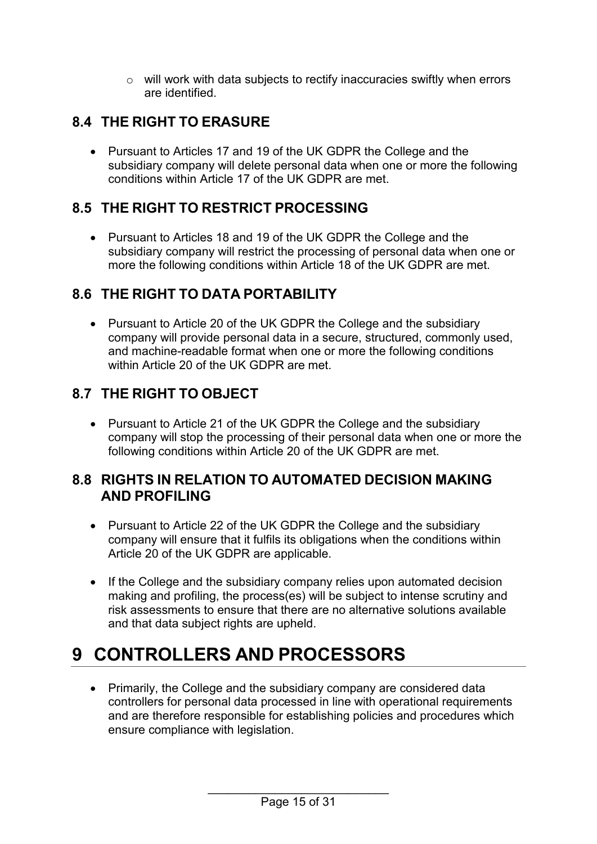o will work with data subjects to rectify inaccuracies swiftly when errors are identified.

## <span id="page-14-0"></span>**8.4 THE RIGHT TO ERASURE**

• Pursuant to Articles 17 and 19 of the UK GDPR the College and the subsidiary company will delete personal data when one or more the following conditions within Article 17 of the UK GDPR are met.

#### <span id="page-14-1"></span>**8.5 THE RIGHT TO RESTRICT PROCESSING**

• Pursuant to Articles 18 and 19 of the UK GDPR the College and the subsidiary company will restrict the processing of personal data when one or more the following conditions within Article 18 of the UK GDPR are met.

## <span id="page-14-2"></span>**8.6 THE RIGHT TO DATA PORTABILITY**

• Pursuant to Article 20 of the UK GDPR the College and the subsidiary company will provide personal data in a secure, structured, commonly used, and machine-readable format when one or more the following conditions within Article 20 of the UK GDPR are met.

## <span id="page-14-3"></span>**8.7 THE RIGHT TO OBJECT**

• Pursuant to Article 21 of the UK GDPR the College and the subsidiary company will stop the processing of their personal data when one or more the following conditions within Article 20 of the UK GDPR are met.

#### <span id="page-14-4"></span>**8.8 RIGHTS IN RELATION TO AUTOMATED DECISION MAKING AND PROFILING**

- Pursuant to Article 22 of the UK GDPR the College and the subsidiary company will ensure that it fulfils its obligations when the conditions within Article 20 of the UK GDPR are applicable.
- If the College and the subsidiary company relies upon automated decision making and profiling, the process(es) will be subject to intense scrutiny and risk assessments to ensure that there are no alternative solutions available and that data subject rights are upheld.

# <span id="page-14-5"></span>**9 CONTROLLERS AND PROCESSORS**

• Primarily, the College and the subsidiary company are considered data controllers for personal data processed in line with operational requirements and are therefore responsible for establishing policies and procedures which ensure compliance with legislation.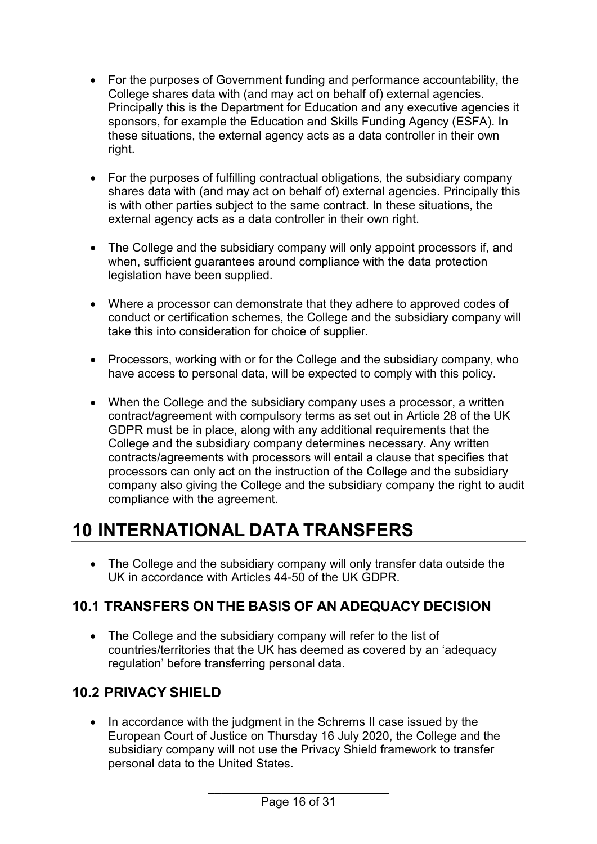- For the purposes of Government funding and performance accountability, the College shares data with (and may act on behalf of) external agencies. Principally this is the Department for Education and any executive agencies it sponsors, for example the Education and Skills Funding Agency (ESFA). In these situations, the external agency acts as a data controller in their own right.
- For the purposes of fulfilling contractual obligations, the subsidiary company shares data with (and may act on behalf of) external agencies. Principally this is with other parties subject to the same contract. In these situations, the external agency acts as a data controller in their own right.
- The College and the subsidiary company will only appoint processors if, and when, sufficient quarantees around compliance with the data protection legislation have been supplied.
- Where a processor can demonstrate that they adhere to approved codes of conduct or certification schemes, the College and the subsidiary company will take this into consideration for choice of supplier.
- Processors, working with or for the College and the subsidiary company, who have access to personal data, will be expected to comply with this policy.
- When the College and the subsidiary company uses a processor, a written contract/agreement with compulsory terms as set out in Article 28 of the UK GDPR must be in place, along with any additional requirements that the College and the subsidiary company determines necessary. Any written contracts/agreements with processors will entail a clause that specifies that processors can only act on the instruction of the College and the subsidiary company also giving the College and the subsidiary company the right to audit compliance with the agreement.

## <span id="page-15-0"></span>**10 INTERNATIONAL DATA TRANSFERS**

• The College and the subsidiary company will only transfer data outside the UK in accordance with Articles 44-50 of the UK GDPR.

### <span id="page-15-1"></span>**10.1 TRANSFERS ON THE BASIS OF AN ADEQUACY DECISION**

• The College and the subsidiary company will refer to the list of countries/territories that the UK has deemed as covered by an 'adequacy regulation' before transferring personal data.

## <span id="page-15-2"></span>**10.2 PRIVACY SHIELD**

• In accordance with the judgment in the Schrems II case issued by the European Court of Justice on Thursday 16 July 2020, the College and the subsidiary company will not use the Privacy Shield framework to transfer personal data to the United States.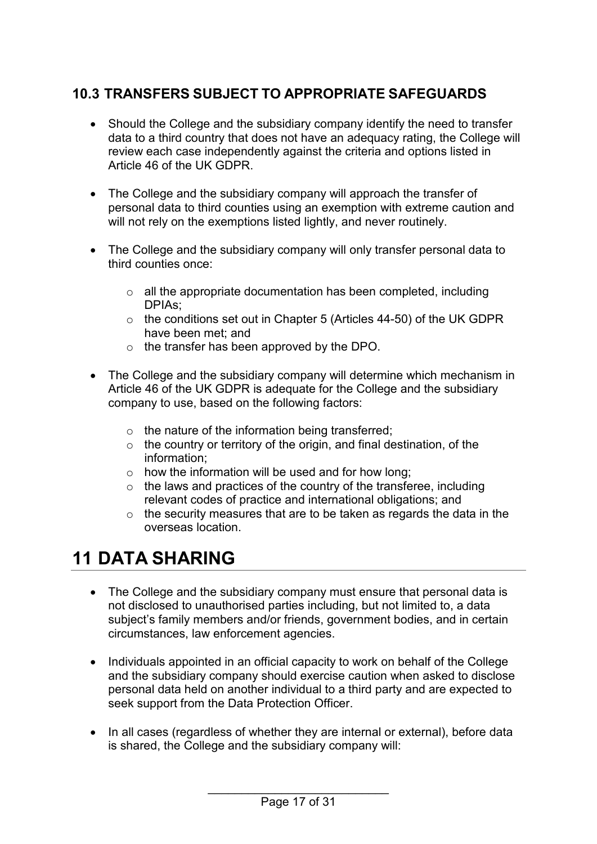## <span id="page-16-0"></span>**10.3 TRANSFERS SUBJECT TO APPROPRIATE SAFEGUARDS**

- Should the College and the subsidiary company identify the need to transfer data to a third country that does not have an adequacy rating, the College will review each case independently against the criteria and options listed in Article 46 of the UK GDPR.
- The College and the subsidiary company will approach the transfer of personal data to third counties using an exemption with extreme caution and will not rely on the exemptions listed lightly, and never routinely.
- The College and the subsidiary company will only transfer personal data to third counties once:
	- o all the appropriate documentation has been completed, including DPIAs;
	- o the conditions set out in Chapter 5 (Articles 44-50) of the UK GDPR have been met; and
	- o the transfer has been approved by the DPO.
- The College and the subsidiary company will determine which mechanism in Article 46 of the UK GDPR is adequate for the College and the subsidiary company to use, based on the following factors:
	- $\circ$  the nature of the information being transferred;
	- $\circ$  the country or territory of the origin, and final destination, of the information;
	- $\circ$  how the information will be used and for how long;
	- $\circ$  the laws and practices of the country of the transferee, including relevant codes of practice and international obligations; and
	- $\circ$  the security measures that are to be taken as regards the data in the overseas location.

## <span id="page-16-1"></span>**11 DATA SHARING**

- The College and the subsidiary company must ensure that personal data is not disclosed to unauthorised parties including, but not limited to, a data subject's family members and/or friends, government bodies, and in certain circumstances, law enforcement agencies.
- Individuals appointed in an official capacity to work on behalf of the College and the subsidiary company should exercise caution when asked to disclose personal data held on another individual to a third party and are expected to seek support from the Data Protection Officer.
- In all cases (regardless of whether they are internal or external), before data is shared, the College and the subsidiary company will: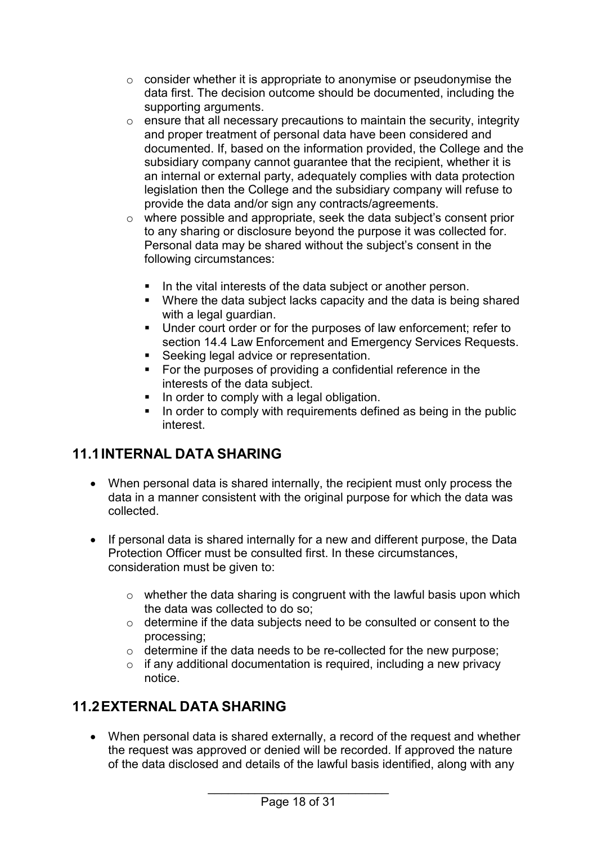- o consider whether it is appropriate to anonymise or pseudonymise the data first. The decision outcome should be documented, including the supporting arguments.
- $\circ$  ensure that all necessary precautions to maintain the security, integrity and proper treatment of personal data have been considered and documented. If, based on the information provided, the College and the subsidiary company cannot quarantee that the recipient, whether it is an internal or external party, adequately complies with data protection legislation then the College and the subsidiary company will refuse to provide the data and/or sign any contracts/agreements.
- o where possible and appropriate, seek the data subject's consent prior to any sharing or disclosure beyond the purpose it was collected for. Personal data may be shared without the subject's consent in the following circumstances:
	- In the vital interests of the data subject or another person.
	- Where the data subject lacks capacity and the data is being shared with a legal guardian.
	- Under court order or for the purposes of law enforcement; refer to section 14.4 Law Enforcement and Emergency Services Requests.
	- **Seeking legal advice or representation.**
	- For the purposes of providing a confidential reference in the interests of the data subject.
	- In order to comply with a legal obligation.
	- In order to comply with requirements defined as being in the public interest.

## <span id="page-17-0"></span>**11.1INTERNAL DATA SHARING**

- When personal data is shared internally, the recipient must only process the data in a manner consistent with the original purpose for which the data was collected.
- If personal data is shared internally for a new and different purpose, the Data Protection Officer must be consulted first. In these circumstances, consideration must be given to:
	- $\circ$  whether the data sharing is congruent with the lawful basis upon which the data was collected to do so;
	- o determine if the data subjects need to be consulted or consent to the processing;
	- o determine if the data needs to be re-collected for the new purpose;
	- $\circ$  if any additional documentation is required, including a new privacy notice.

## <span id="page-17-1"></span>**11.2EXTERNAL DATA SHARING**

• When personal data is shared externally, a record of the request and whether the request was approved or denied will be recorded. If approved the nature of the data disclosed and details of the lawful basis identified, along with any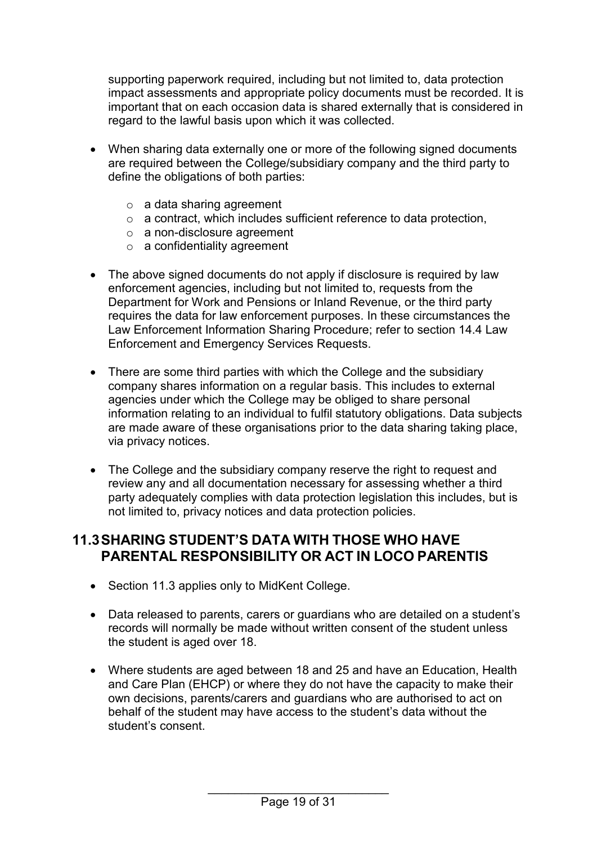supporting paperwork required, including but not limited to, data protection impact assessments and appropriate policy documents must be recorded. It is important that on each occasion data is shared externally that is considered in regard to the lawful basis upon which it was collected.

- When sharing data externally one or more of the following signed documents are required between the College/subsidiary company and the third party to define the obligations of both parties:
	- $\circ$  a data sharing agreement
	- o a contract, which includes sufficient reference to data protection,
	- o a non-disclosure agreement
	- o a confidentiality agreement
- The above signed documents do not apply if disclosure is required by law enforcement agencies, including but not limited to, requests from the Department for Work and Pensions or Inland Revenue, or the third party requires the data for law enforcement purposes. In these circumstances the Law Enforcement Information Sharing Procedure; refer to section 14.4 Law Enforcement and Emergency Services Requests.
- There are some third parties with which the College and the subsidiary company shares information on a regular basis. This includes to external agencies under which the College may be obliged to share personal information relating to an individual to fulfil statutory obligations. Data subjects are made aware of these organisations prior to the data sharing taking place, via privacy notices.
- The College and the subsidiary company reserve the right to request and review any and all documentation necessary for assessing whether a third party adequately complies with data protection legislation this includes, but is not limited to, privacy notices and data protection policies.

#### <span id="page-18-0"></span>**11.3SHARING STUDENT'S DATA WITH THOSE WHO HAVE PARENTAL RESPONSIBILITY OR ACT IN LOCO PARENTIS**

- Section 11.3 applies only to MidKent College.
- Data released to parents, carers or guardians who are detailed on a student's records will normally be made without written consent of the student unless the student is aged over 18.
- Where students are aged between 18 and 25 and have an Education, Health and Care Plan (EHCP) or where they do not have the capacity to make their own decisions, parents/carers and guardians who are authorised to act on behalf of the student may have access to the student's data without the student's consent.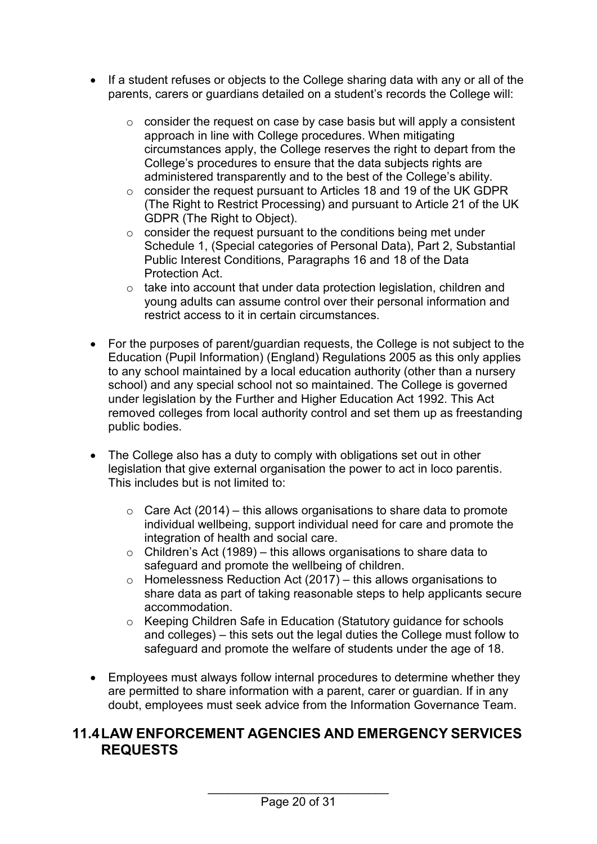- If a student refuses or objects to the College sharing data with any or all of the parents, carers or guardians detailed on a student's records the College will:
	- o consider the request on case by case basis but will apply a consistent approach in line with College procedures. When mitigating circumstances apply, the College reserves the right to depart from the College's procedures to ensure that the data subjects rights are administered transparently and to the best of the College's ability.
	- o consider the request pursuant to Articles 18 and 19 of the UK GDPR (The Right to Restrict Processing) and pursuant to Article 21 of the UK GDPR (The Right to Object).
	- $\circ$  consider the request pursuant to the conditions being met under Schedule 1, (Special categories of Personal Data), Part 2, Substantial Public Interest Conditions, Paragraphs 16 and 18 of the Data Protection Act.
	- o take into account that under data protection legislation, children and young adults can assume control over their personal information and restrict access to it in certain circumstances.
- For the purposes of parent/guardian requests, the College is not subject to the Education (Pupil Information) (England) Regulations 2005 as this only applies to any school maintained by a local education authority (other than a nursery school) and any special school not so maintained. The College is governed under legislation by the Further and Higher Education Act 1992. This Act removed colleges from local authority control and set them up as freestanding public bodies.
- The College also has a duty to comply with obligations set out in other legislation that give external organisation the power to act in loco parentis. This includes but is not limited to:
	- $\circ$  Care Act (2014) this allows organisations to share data to promote individual wellbeing, support individual need for care and promote the integration of health and social care.
	- $\circ$  Children's Act (1989) this allows organisations to share data to safeguard and promote the wellbeing of children.
	- $\circ$  Homelessness Reduction Act (2017) this allows organisations to share data as part of taking reasonable steps to help applicants secure accommodation.
	- o Keeping Children Safe in Education (Statutory guidance for schools and colleges) – this sets out the legal duties the College must follow to safeguard and promote the welfare of students under the age of 18.
- Employees must always follow internal procedures to determine whether they are permitted to share information with a parent, carer or guardian. If in any doubt, employees must seek advice from the Information Governance Team.

#### <span id="page-19-0"></span>**11.4LAW ENFORCEMENT AGENCIES AND EMERGENCY SERVICES REQUESTS**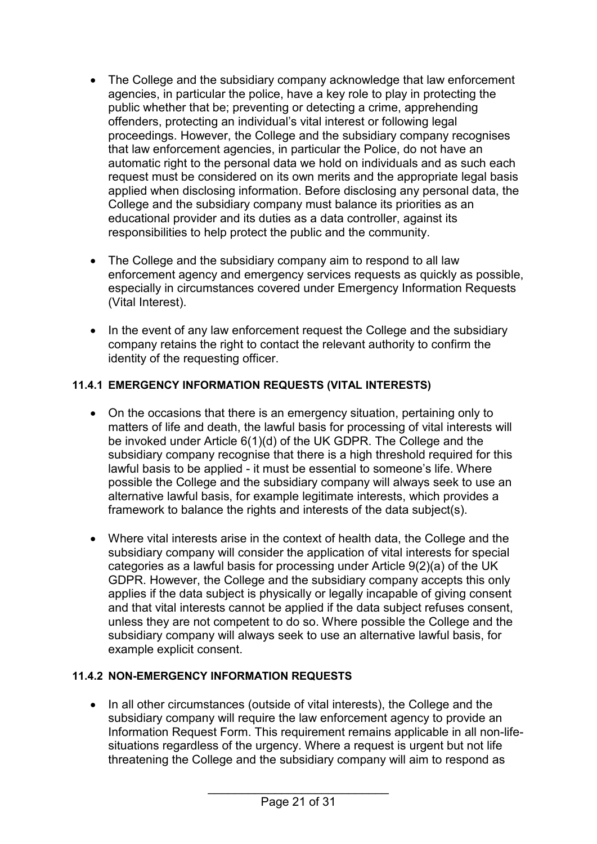- The College and the subsidiary company acknowledge that law enforcement agencies, in particular the police, have a key role to play in protecting the public whether that be; preventing or detecting a crime, apprehending offenders, protecting an individual's vital interest or following legal proceedings. However, the College and the subsidiary company recognises that law enforcement agencies, in particular the Police, do not have an automatic right to the personal data we hold on individuals and as such each request must be considered on its own merits and the appropriate legal basis applied when disclosing information. Before disclosing any personal data, the College and the subsidiary company must balance its priorities as an educational provider and its duties as a data controller, against its responsibilities to help protect the public and the community.
- The College and the subsidiary company aim to respond to all law enforcement agency and emergency services requests as quickly as possible, especially in circumstances covered under Emergency Information Requests (Vital Interest).
- In the event of any law enforcement request the College and the subsidiary company retains the right to contact the relevant authority to confirm the identity of the requesting officer.

#### <span id="page-20-0"></span>**11.4.1 EMERGENCY INFORMATION REQUESTS (VITAL INTERESTS)**

- On the occasions that there is an emergency situation, pertaining only to matters of life and death, the lawful basis for processing of vital interests will be invoked under Article 6(1)(d) of the UK GDPR. The College and the subsidiary company recognise that there is a high threshold required for this lawful basis to be applied - it must be essential to someone's life. Where possible the College and the subsidiary company will always seek to use an alternative lawful basis, for example legitimate interests, which provides a framework to balance the rights and interests of the data subject(s).
- Where vital interests arise in the context of health data, the College and the subsidiary company will consider the application of vital interests for special categories as a lawful basis for processing under Article 9(2)(a) of the UK GDPR. However, the College and the subsidiary company accepts this only applies if the data subject is physically or legally incapable of giving consent and that vital interests cannot be applied if the data subject refuses consent, unless they are not competent to do so. Where possible the College and the subsidiary company will always seek to use an alternative lawful basis, for example explicit consent.

#### <span id="page-20-1"></span>**11.4.2 NON-EMERGENCY INFORMATION REQUESTS**

• In all other circumstances (outside of vital interests), the College and the subsidiary company will require the law enforcement agency to provide an Information Request Form. This requirement remains applicable in all non-lifesituations regardless of the urgency. Where a request is urgent but not life threatening the College and the subsidiary company will aim to respond as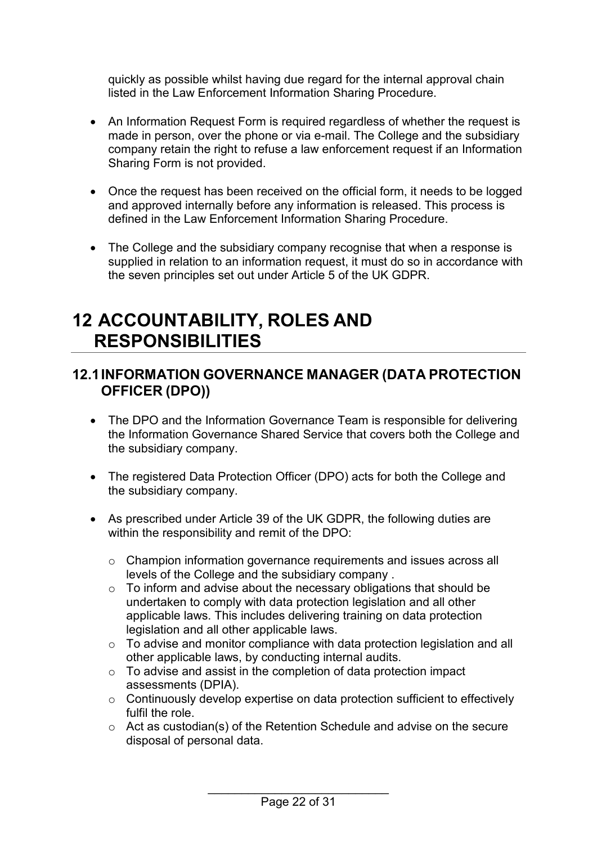quickly as possible whilst having due regard for the internal approval chain listed in the Law Enforcement Information Sharing Procedure.

- An Information Request Form is required regardless of whether the request is made in person, over the phone or via e-mail. The College and the subsidiary company retain the right to refuse a law enforcement request if an Information Sharing Form is not provided.
- Once the request has been received on the official form, it needs to be logged and approved internally before any information is released. This process is defined in the Law Enforcement Information Sharing Procedure.
- The College and the subsidiary company recognise that when a response is supplied in relation to an information request, it must do so in accordance with the seven principles set out under Article 5 of the UK GDPR.

## <span id="page-21-0"></span>**12 ACCOUNTABILITY, ROLES AND RESPONSIBILITIES**

#### <span id="page-21-1"></span>**12.1INFORMATION GOVERNANCE MANAGER (DATA PROTECTION OFFICER (DPO))**

- The DPO and the Information Governance Team is responsible for delivering the Information Governance Shared Service that covers both the College and the subsidiary company.
- The registered Data Protection Officer (DPO) acts for both the College and the subsidiary company.
- As prescribed under Article 39 of the UK GDPR, the following duties are within the responsibility and remit of the DPO:
	- o Champion information governance requirements and issues across all levels of the College and the subsidiary company .
	- $\circ$  To inform and advise about the necessary obligations that should be undertaken to comply with data protection legislation and all other applicable laws. This includes delivering training on data protection legislation and all other applicable laws.
	- o To advise and monitor compliance with data protection legislation and all other applicable laws, by conducting internal audits.
	- o To advise and assist in the completion of data protection impact assessments (DPIA).
	- o Continuously develop expertise on data protection sufficient to effectively fulfil the role.
	- o Act as custodian(s) of the Retention Schedule and advise on the secure disposal of personal data.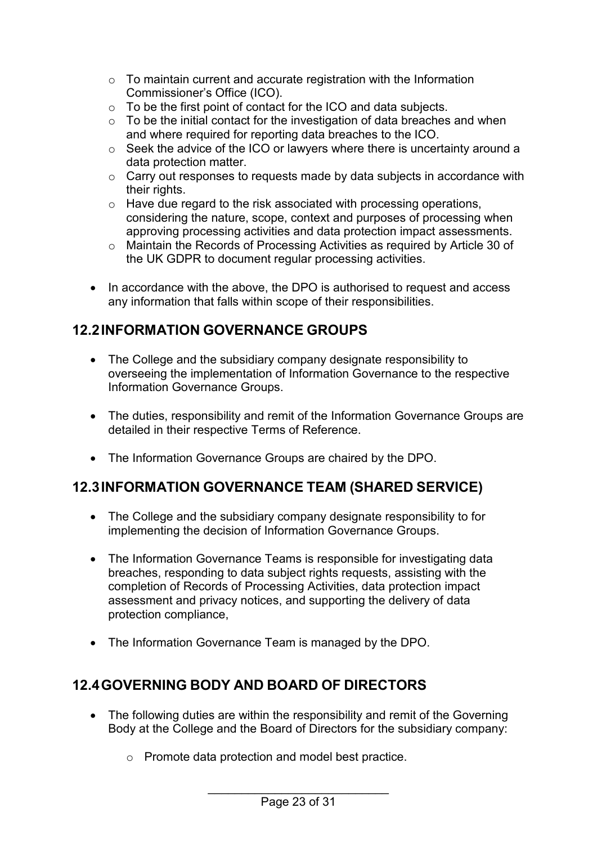- $\circ$  To maintain current and accurate registration with the Information Commissioner's Office (ICO).
- o To be the first point of contact for the ICO and data subjects.
- o To be the initial contact for the investigation of data breaches and when and where required for reporting data breaches to the ICO.
- o Seek the advice of the ICO or lawyers where there is uncertainty around a data protection matter.
- o Carry out responses to requests made by data subjects in accordance with their rights.
- o Have due regard to the risk associated with processing operations, considering the nature, scope, context and purposes of processing when approving processing activities and data protection impact assessments.
- o Maintain the Records of Processing Activities as required by Article 30 of the UK GDPR to document regular processing activities.
- In accordance with the above, the DPO is authorised to request and access any information that falls within scope of their responsibilities.

### <span id="page-22-0"></span>**12.2INFORMATION GOVERNANCE GROUPS**

- The College and the subsidiary company designate responsibility to overseeing the implementation of Information Governance to the respective Information Governance Groups.
- The duties, responsibility and remit of the Information Governance Groups are detailed in their respective Terms of Reference.
- The Information Governance Groups are chaired by the DPO.

### <span id="page-22-1"></span>**12.3INFORMATION GOVERNANCE TEAM (SHARED SERVICE)**

- The College and the subsidiary company designate responsibility to for implementing the decision of Information Governance Groups.
- The Information Governance Teams is responsible for investigating data breaches, responding to data subject rights requests, assisting with the completion of Records of Processing Activities, data protection impact assessment and privacy notices, and supporting the delivery of data protection compliance,
- The Information Governance Team is managed by the DPO.

### <span id="page-22-2"></span>**12.4GOVERNING BODY AND BOARD OF DIRECTORS**

- The following duties are within the responsibility and remit of the Governing Body at the College and the Board of Directors for the subsidiary company:
	- o Promote data protection and model best practice.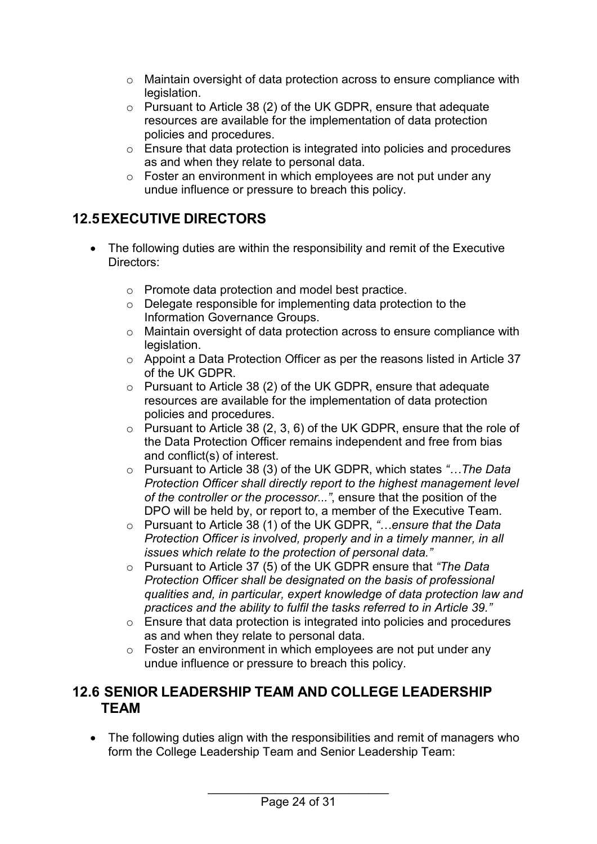- o Maintain oversight of data protection across to ensure compliance with legislation.
- o Pursuant to Article 38 (2) of the UK GDPR, ensure that adequate resources are available for the implementation of data protection policies and procedures.
- o Ensure that data protection is integrated into policies and procedures as and when they relate to personal data.
- o Foster an environment in which employees are not put under any undue influence or pressure to breach this policy.

## <span id="page-23-0"></span>**12.5EXECUTIVE DIRECTORS**

- The following duties are within the responsibility and remit of the Executive Directors:
	- o Promote data protection and model best practice.
	- o Delegate responsible for implementing data protection to the Information Governance Groups.
	- o Maintain oversight of data protection across to ensure compliance with legislation.
	- o Appoint a Data Protection Officer as per the reasons listed in Article 37 of the UK GDPR.
	- o Pursuant to Article 38 (2) of the UK GDPR, ensure that adequate resources are available for the implementation of data protection policies and procedures.
	- $\circ$  Pursuant to Article 38 (2, 3, 6) of the UK GDPR, ensure that the role of the Data Protection Officer remains independent and free from bias and conflict(s) of interest.
	- o Pursuant to Article 38 (3) of the UK GDPR, which states *"…The Data Protection Officer shall directly report to the highest management level of the controller or the processor..."*, ensure that the position of the DPO will be held by, or report to, a member of the Executive Team.
	- o Pursuant to Article 38 (1) of the UK GDPR, *"…ensure that the Data Protection Officer is involved, properly and in a timely manner, in all issues which relate to the protection of personal data."*
	- o Pursuant to Article 37 (5) of the UK GDPR ensure that *"The Data Protection Officer shall be designated on the basis of professional qualities and, in particular, expert knowledge of data protection law and practices and the ability to fulfil the tasks referred to in Article 39."*
	- o Ensure that data protection is integrated into policies and procedures as and when they relate to personal data.
	- o Foster an environment in which employees are not put under any undue influence or pressure to breach this policy.

#### <span id="page-23-1"></span>**12.6 SENIOR LEADERSHIP TEAM AND COLLEGE LEADERSHIP TEAM**

• The following duties align with the responsibilities and remit of managers who form the College Leadership Team and Senior Leadership Team: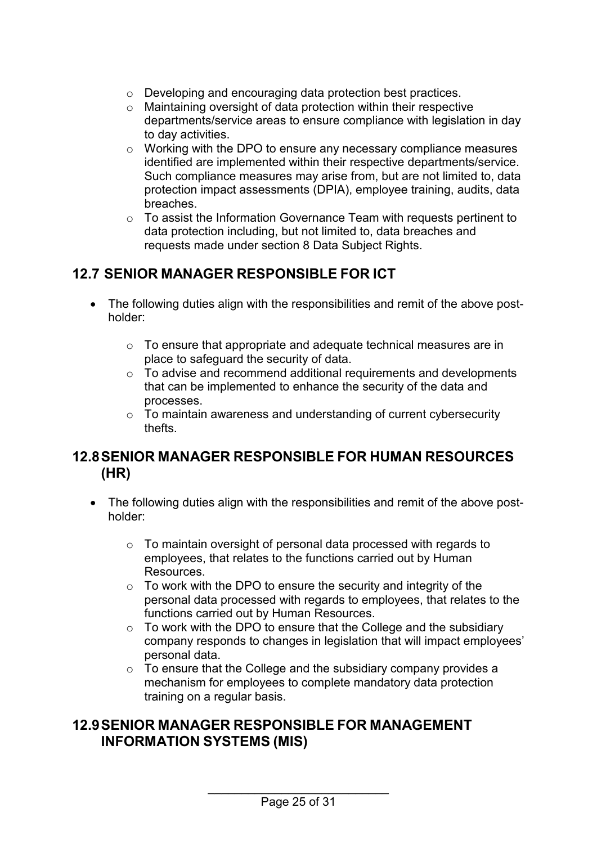- o Developing and encouraging data protection best practices.
- o Maintaining oversight of data protection within their respective departments/service areas to ensure compliance with legislation in day to day activities.
- $\circ$  Working with the DPO to ensure any necessary compliance measures identified are implemented within their respective departments/service. Such compliance measures may arise from, but are not limited to, data protection impact assessments (DPIA), employee training, audits, data breaches.
- o To assist the Information Governance Team with requests pertinent to data protection including, but not limited to, data breaches and requests made under section 8 Data Subject Rights.

### <span id="page-24-0"></span>**12.7 SENIOR MANAGER RESPONSIBLE FOR ICT**

- The following duties align with the responsibilities and remit of the above postholder:
	- o To ensure that appropriate and adequate technical measures are in place to safeguard the security of data.
	- $\circ$  To advise and recommend additional requirements and developments that can be implemented to enhance the security of the data and processes.
	- o To maintain awareness and understanding of current cybersecurity thefts.

#### <span id="page-24-1"></span>**12.8SENIOR MANAGER RESPONSIBLE FOR HUMAN RESOURCES (HR)**

- The following duties align with the responsibilities and remit of the above postholder:
	- $\circ$  To maintain oversight of personal data processed with regards to employees, that relates to the functions carried out by Human Resources.
	- $\circ$  To work with the DPO to ensure the security and integrity of the personal data processed with regards to employees, that relates to the functions carried out by Human Resources.
	- $\circ$  To work with the DPO to ensure that the College and the subsidiary company responds to changes in legislation that will impact employees' personal data.
	- o To ensure that the College and the subsidiary company provides a mechanism for employees to complete mandatory data protection training on a regular basis.

#### <span id="page-24-2"></span>**12.9SENIOR MANAGER RESPONSIBLE FOR MANAGEMENT INFORMATION SYSTEMS (MIS)**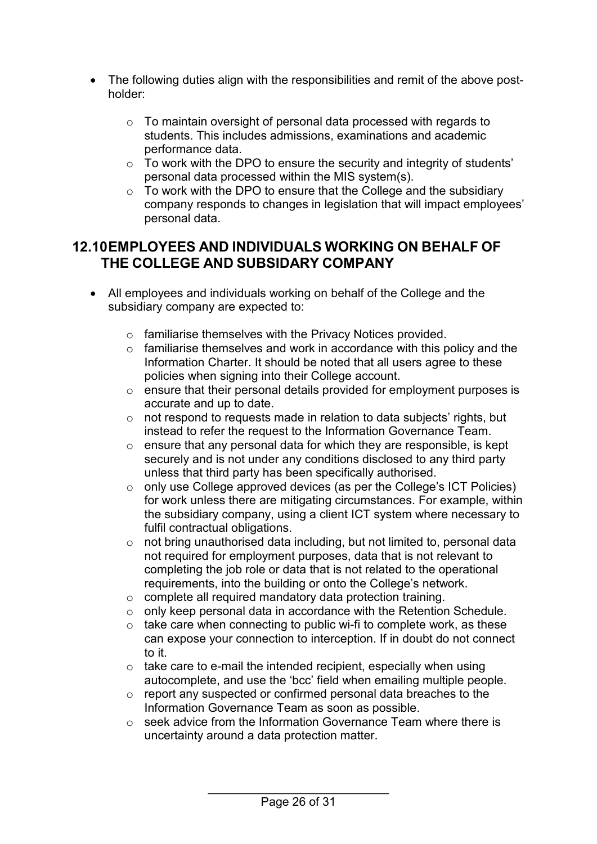- The following duties align with the responsibilities and remit of the above postholder:
	- o To maintain oversight of personal data processed with regards to students. This includes admissions, examinations and academic performance data.
	- $\circ$  To work with the DPO to ensure the security and integrity of students' personal data processed within the MIS system(s).
	- o To work with the DPO to ensure that the College and the subsidiary company responds to changes in legislation that will impact employees' personal data.

#### <span id="page-25-0"></span>**12.10EMPLOYEES AND INDIVIDUALS WORKING ON BEHALF OF THE COLLEGE AND SUBSIDARY COMPANY**

- All employees and individuals working on behalf of the College and the subsidiary company are expected to:
	- o familiarise themselves with the Privacy Notices provided.
	- $\circ$  familiarise themselves and work in accordance with this policy and the Information Charter. It should be noted that all users agree to these policies when signing into their College account.
	- $\circ$  ensure that their personal details provided for employment purposes is accurate and up to date.
	- o not respond to requests made in relation to data subjects' rights, but instead to refer the request to the Information Governance Team.
	- $\circ$  ensure that any personal data for which they are responsible, is kept securely and is not under any conditions disclosed to any third party unless that third party has been specifically authorised.
	- o only use College approved devices (as per the College's ICT Policies) for work unless there are mitigating circumstances. For example, within the subsidiary company, using a client ICT system where necessary to fulfil contractual obligations.
	- o not bring unauthorised data including, but not limited to, personal data not required for employment purposes, data that is not relevant to completing the job role or data that is not related to the operational requirements, into the building or onto the College's network.
	- o complete all required mandatory data protection training.
	- o only keep personal data in accordance with the Retention Schedule.
	- $\circ$  take care when connecting to public wi-fi to complete work, as these can expose your connection to interception. If in doubt do not connect to it.
	- $\circ$  take care to e-mail the intended recipient, especially when using autocomplete, and use the 'bcc' field when emailing multiple people.
	- o report any suspected or confirmed personal data breaches to the Information Governance Team as soon as possible.
	- $\circ$  seek advice from the Information Governance Team where there is uncertainty around a data protection matter.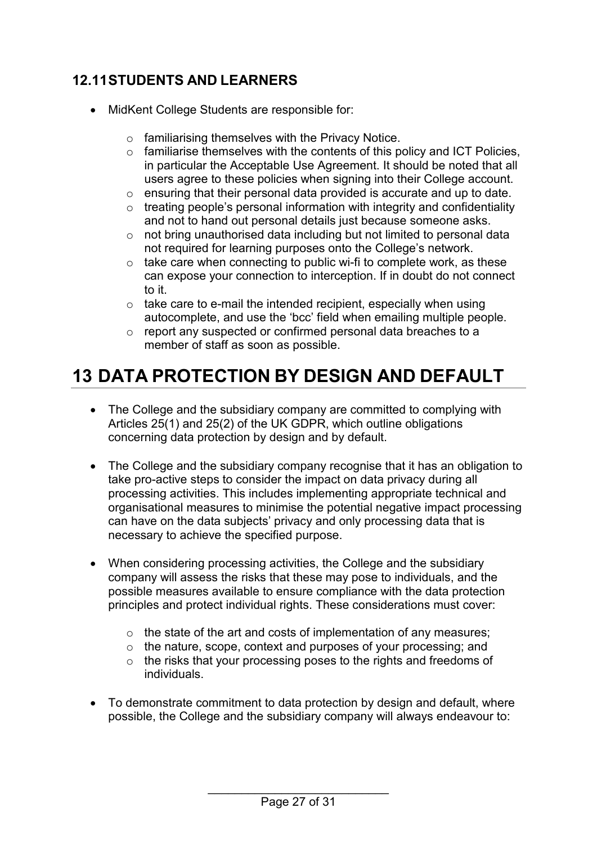## <span id="page-26-0"></span>**12.11STUDENTS AND LEARNERS**

- MidKent College Students are responsible for:
	- o familiarising themselves with the Privacy Notice.
	- $\circ$  familiarise themselves with the contents of this policy and ICT Policies, in particular the Acceptable Use Agreement. It should be noted that all users agree to these policies when signing into their College account.
	- o ensuring that their personal data provided is accurate and up to date.
	- $\circ$  treating people's personal information with integrity and confidentiality and not to hand out personal details just because someone asks.
	- o not bring unauthorised data including but not limited to personal data not required for learning purposes onto the College's network.
	- $\circ$  take care when connecting to public wi-fi to complete work, as these can expose your connection to interception. If in doubt do not connect to it.
	- $\circ$  take care to e-mail the intended recipient, especially when using autocomplete, and use the 'bcc' field when emailing multiple people.
	- o report any suspected or confirmed personal data breaches to a member of staff as soon as possible.

## <span id="page-26-1"></span>**13 DATA PROTECTION BY DESIGN AND DEFAULT**

- The College and the subsidiary company are committed to complying with Articles 25(1) and 25(2) of the UK GDPR, which outline obligations concerning data protection by design and by default.
- The College and the subsidiary company recognise that it has an obligation to take pro-active steps to consider the impact on data privacy during all processing activities. This includes implementing appropriate technical and organisational measures to minimise the potential negative impact processing can have on the data subjects' privacy and only processing data that is necessary to achieve the specified purpose.
- When considering processing activities, the College and the subsidiary company will assess the risks that these may pose to individuals, and the possible measures available to ensure compliance with the data protection principles and protect individual rights. These considerations must cover:
	- $\circ$  the state of the art and costs of implementation of any measures;
	- o the nature, scope, context and purposes of your processing; and
	- o the risks that your processing poses to the rights and freedoms of individuals.
- To demonstrate commitment to data protection by design and default, where possible, the College and the subsidiary company will always endeavour to: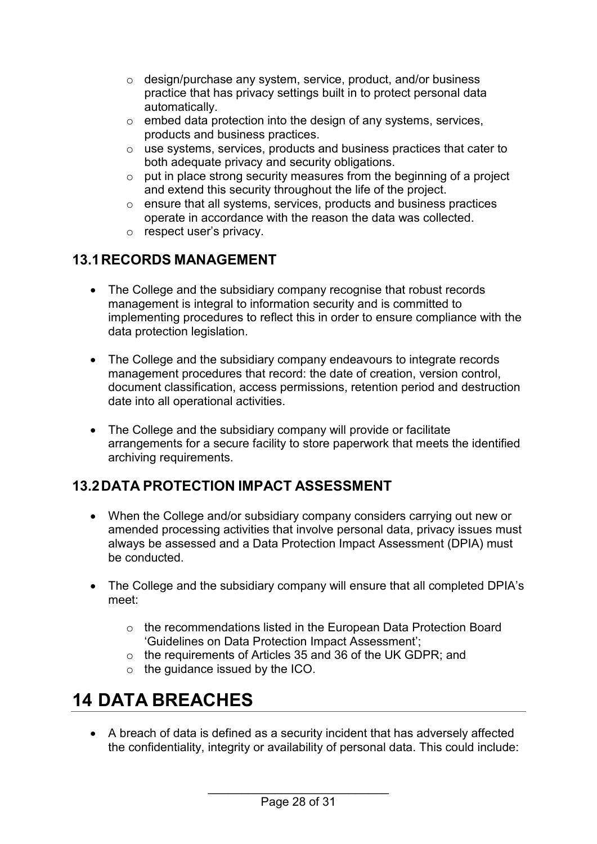- o design/purchase any system, service, product, and/or business practice that has privacy settings built in to protect personal data automatically.
- $\circ$  embed data protection into the design of any systems, services, products and business practices.
- o use systems, services, products and business practices that cater to both adequate privacy and security obligations.
- $\circ$  put in place strong security measures from the beginning of a project and extend this security throughout the life of the project.
- o ensure that all systems, services, products and business practices operate in accordance with the reason the data was collected.
- o respect user's privacy.

## <span id="page-27-0"></span>**13.1RECORDS MANAGEMENT**

- The College and the subsidiary company recognise that robust records management is integral to information security and is committed to implementing procedures to reflect this in order to ensure compliance with the data protection legislation.
- The College and the subsidiary company endeavours to integrate records management procedures that record: the date of creation, version control, document classification, access permissions, retention period and destruction date into all operational activities.
- The College and the subsidiary company will provide or facilitate arrangements for a secure facility to store paperwork that meets the identified archiving requirements.

## <span id="page-27-1"></span>**13.2DATA PROTECTION IMPACT ASSESSMENT**

- When the College and/or subsidiary company considers carrying out new or amended processing activities that involve personal data, privacy issues must always be assessed and a Data Protection Impact Assessment (DPIA) must be conducted.
- The College and the subsidiary company will ensure that all completed DPIA's meet:
	- o the recommendations listed in the European Data Protection Board 'Guidelines on Data Protection Impact Assessment';
	- o the requirements of Articles 35 and 36 of the UK GDPR; and
	- o the guidance issued by the ICO.

# <span id="page-27-2"></span>**14 DATA BREACHES**

• A breach of data is defined as a security incident that has adversely affected the confidentiality, integrity or availability of personal data. This could include: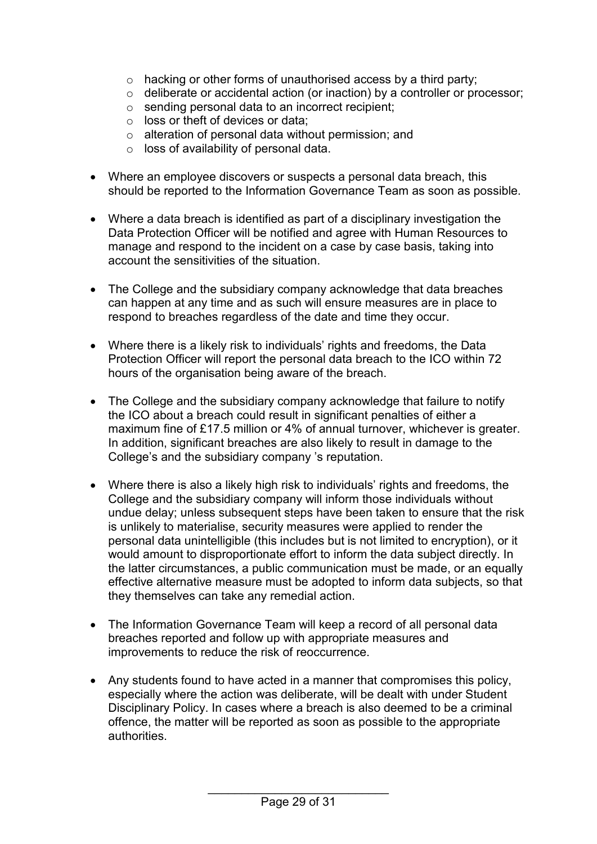- o hacking or other forms of unauthorised access by a third party;
- o deliberate or accidental action (or inaction) by a controller or processor;
- o sending personal data to an incorrect recipient;
- $\circ$  loss or theft of devices or data;
- o alteration of personal data without permission; and
- o loss of availability of personal data.
- Where an employee discovers or suspects a personal data breach, this should be reported to the Information Governance Team as soon as possible.
- Where a data breach is identified as part of a disciplinary investigation the Data Protection Officer will be notified and agree with Human Resources to manage and respond to the incident on a case by case basis, taking into account the sensitivities of the situation.
- The College and the subsidiary company acknowledge that data breaches can happen at any time and as such will ensure measures are in place to respond to breaches regardless of the date and time they occur.
- Where there is a likely risk to individuals' rights and freedoms, the Data Protection Officer will report the personal data breach to the ICO within 72 hours of the organisation being aware of the breach.
- The College and the subsidiary company acknowledge that failure to notify the ICO about a breach could result in significant penalties of either a maximum fine of £17.5 million or 4% of annual turnover, whichever is greater. In addition, significant breaches are also likely to result in damage to the College's and the subsidiary company 's reputation.
- Where there is also a likely high risk to individuals' rights and freedoms, the College and the subsidiary company will inform those individuals without undue delay; unless subsequent steps have been taken to ensure that the risk is unlikely to materialise, security measures were applied to render the personal data unintelligible (this includes but is not limited to encryption), or it would amount to disproportionate effort to inform the data subject directly. In the latter circumstances, a public communication must be made, or an equally effective alternative measure must be adopted to inform data subjects, so that they themselves can take any remedial action.
- The Information Governance Team will keep a record of all personal data breaches reported and follow up with appropriate measures and improvements to reduce the risk of reoccurrence.
- Any students found to have acted in a manner that compromises this policy, especially where the action was deliberate, will be dealt with under Student Disciplinary Policy. In cases where a breach is also deemed to be a criminal offence, the matter will be reported as soon as possible to the appropriate authorities.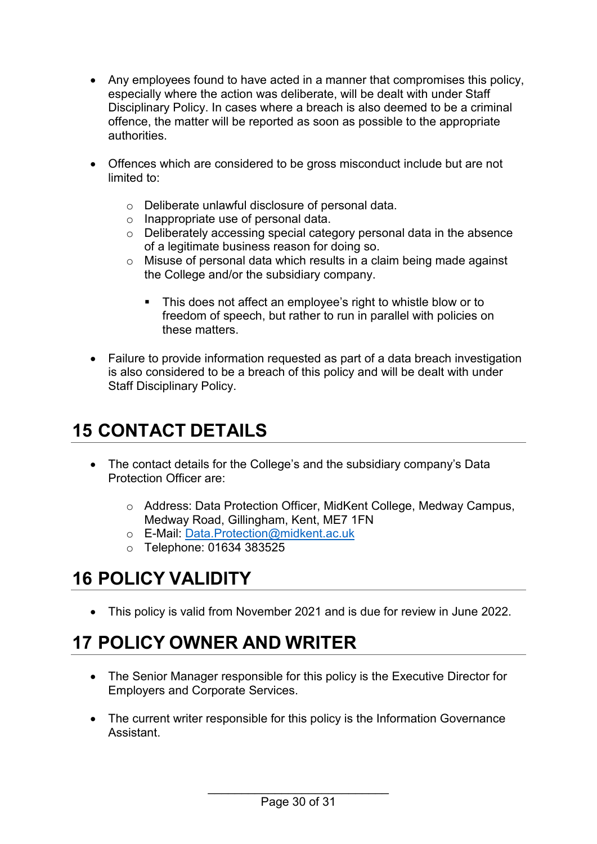- Any employees found to have acted in a manner that compromises this policy, especially where the action was deliberate, will be dealt with under Staff Disciplinary Policy. In cases where a breach is also deemed to be a criminal offence, the matter will be reported as soon as possible to the appropriate authorities.
- Offences which are considered to be gross misconduct include but are not limited to:
	- o Deliberate unlawful disclosure of personal data.
	- o Inappropriate use of personal data.
	- o Deliberately accessing special category personal data in the absence of a legitimate business reason for doing so.
	- o Misuse of personal data which results in a claim being made against the College and/or the subsidiary company.
		- This does not affect an employee's right to whistle blow or to freedom of speech, but rather to run in parallel with policies on these matters.
- Failure to provide information requested as part of a data breach investigation is also considered to be a breach of this policy and will be dealt with under Staff Disciplinary Policy.

## <span id="page-29-0"></span>**15 CONTACT DETAILS**

- The contact details for the College's and the subsidiary company's Data Protection Officer are:
	- o Address: Data Protection Officer, MidKent College, Medway Campus, Medway Road, Gillingham, Kent, ME7 1FN
	- o E-Mail: [Data.Protection@midkent.ac.uk](mailto:Data.Protection@midkent.ac.uk)
	- o Telephone: 01634 383525

## <span id="page-29-1"></span>**16 POLICY VALIDITY**

• This policy is valid from November 2021 and is due for review in June 2022.

## <span id="page-29-2"></span>**17 POLICY OWNER AND WRITER**

- The Senior Manager responsible for this policy is the Executive Director for Employers and Corporate Services.
- The current writer responsible for this policy is the Information Governance Assistant.